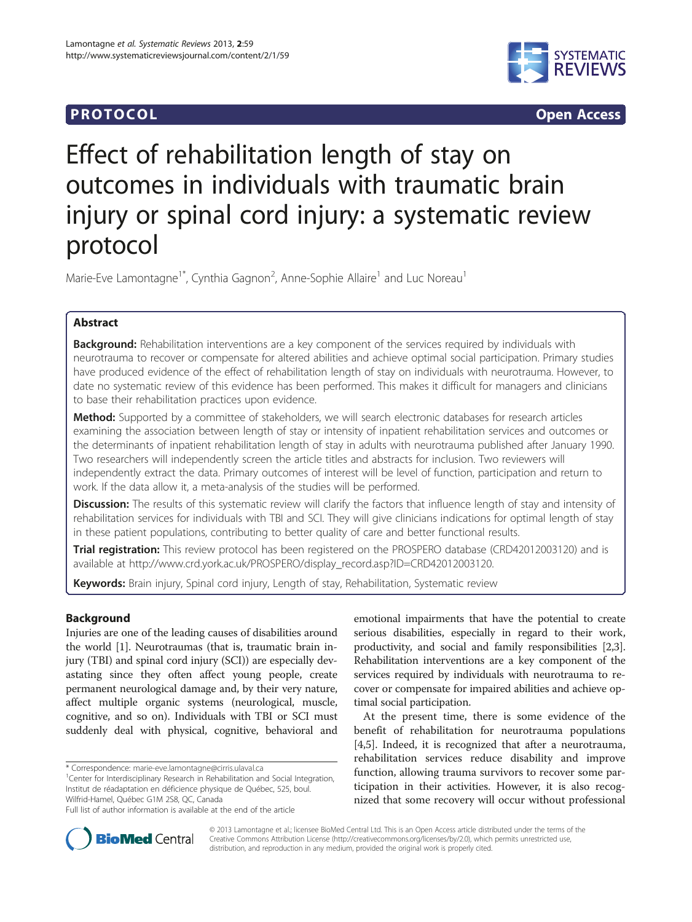## **PROTOCOL CONSUMING ACCESS CONSUMING ACCESS**



# Effect of rehabilitation length of stay on outcomes in individuals with traumatic brain injury or spinal cord injury: a systematic review protocol

Marie-Eve Lamontagne<sup>1\*</sup>, Cynthia Gagnon<sup>2</sup>, Anne-Sophie Allaire<sup>1</sup> and Luc Noreau<sup>1</sup>

## Abstract

Background: Rehabilitation interventions are a key component of the services required by individuals with neurotrauma to recover or compensate for altered abilities and achieve optimal social participation. Primary studies have produced evidence of the effect of rehabilitation length of stay on individuals with neurotrauma. However, to date no systematic review of this evidence has been performed. This makes it difficult for managers and clinicians to base their rehabilitation practices upon evidence.

Method: Supported by a committee of stakeholders, we will search electronic databases for research articles examining the association between length of stay or intensity of inpatient rehabilitation services and outcomes or the determinants of inpatient rehabilitation length of stay in adults with neurotrauma published after January 1990. Two researchers will independently screen the article titles and abstracts for inclusion. Two reviewers will independently extract the data. Primary outcomes of interest will be level of function, participation and return to work. If the data allow it, a meta-analysis of the studies will be performed.

Discussion: The results of this systematic review will clarify the factors that influence length of stay and intensity of rehabilitation services for individuals with TBI and SCI. They will give clinicians indications for optimal length of stay in these patient populations, contributing to better quality of care and better functional results.

Trial registration: This review protocol has been registered on the PROSPERO database (CRD42012003120) and is available at [http://www.crd.york.ac.uk/PROSPERO/display\\_record.asp?ID=CRD42012003120](http://www.crd.york.ac.uk/PROSPERO/display_record.asp?ID=CRD42012003120).

Keywords: Brain injury, Spinal cord injury, Length of stay, Rehabilitation, Systematic review

## Background

Injuries are one of the leading causes of disabilities around the world [[1\]](#page-3-0). Neurotraumas (that is, traumatic brain injury (TBI) and spinal cord injury (SCI)) are especially devastating since they often affect young people, create permanent neurological damage and, by their very nature, affect multiple organic systems (neurological, muscle, cognitive, and so on). Individuals with TBI or SCI must suddenly deal with physical, cognitive, behavioral and

\* Correspondence: [marie-eve.lamontagne@cirris.ulaval.ca](mailto:marie-eve.lamontagne@cirris.ulaval.ca) <sup>1</sup>

<sup>1</sup>Center for Interdisciplinary Research in Rehabilitation and Social Integration, Institut de réadaptation en déficience physique de Québec, 525, boul. Wilfrid-Hamel, Québec G1M 2S8, QC, Canada

emotional impairments that have the potential to create serious disabilities, especially in regard to their work, productivity, and social and family responsibilities [[2](#page-3-0),[3](#page-3-0)]. Rehabilitation interventions are a key component of the services required by individuals with neurotrauma to recover or compensate for impaired abilities and achieve optimal social participation.

At the present time, there is some evidence of the benefit of rehabilitation for neurotrauma populations [[4,5\]](#page-3-0). Indeed, it is recognized that after a neurotrauma, rehabilitation services reduce disability and improve function, allowing trauma survivors to recover some participation in their activities. However, it is also recognized that some recovery will occur without professional



© 2013 Lamontagne et al.; licensee BioMed Central Ltd. This is an Open Access article distributed under the terms of the Creative Commons Attribution License (<http://creativecommons.org/licenses/by/2.0>), which permits unrestricted use, distribution, and reproduction in any medium, provided the original work is properly cited.

Full list of author information is available at the end of the article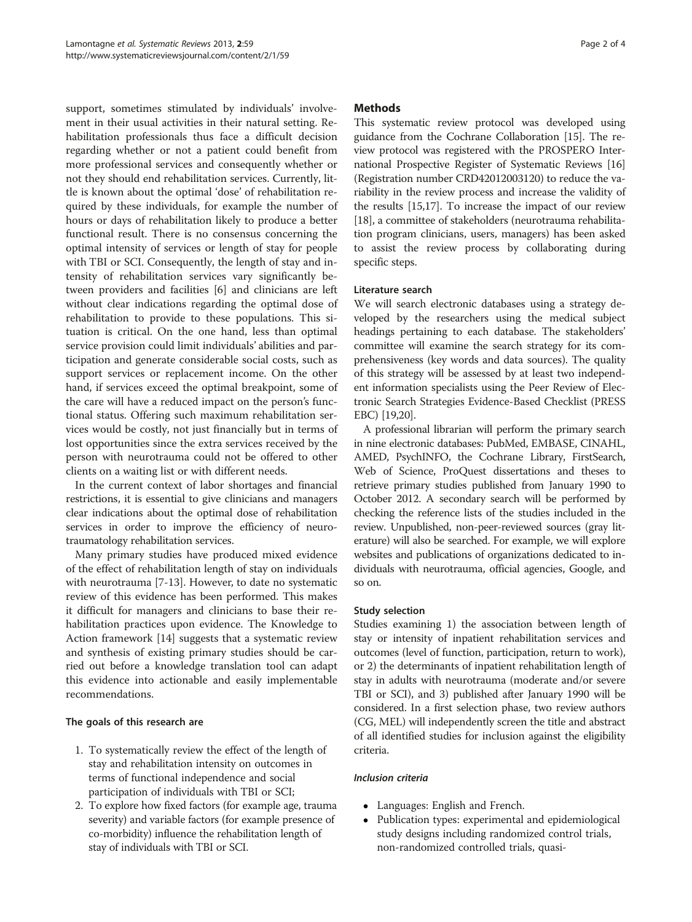support, sometimes stimulated by individuals' involvement in their usual activities in their natural setting. Rehabilitation professionals thus face a difficult decision regarding whether or not a patient could benefit from more professional services and consequently whether or not they should end rehabilitation services. Currently, little is known about the optimal 'dose' of rehabilitation required by these individuals, for example the number of hours or days of rehabilitation likely to produce a better functional result. There is no consensus concerning the optimal intensity of services or length of stay for people with TBI or SCI. Consequently, the length of stay and intensity of rehabilitation services vary significantly between providers and facilities [\[6](#page-3-0)] and clinicians are left without clear indications regarding the optimal dose of rehabilitation to provide to these populations. This situation is critical. On the one hand, less than optimal service provision could limit individuals' abilities and participation and generate considerable social costs, such as support services or replacement income. On the other hand, if services exceed the optimal breakpoint, some of the care will have a reduced impact on the person's functional status. Offering such maximum rehabilitation services would be costly, not just financially but in terms of lost opportunities since the extra services received by the person with neurotrauma could not be offered to other clients on a waiting list or with different needs.

In the current context of labor shortages and financial restrictions, it is essential to give clinicians and managers clear indications about the optimal dose of rehabilitation services in order to improve the efficiency of neurotraumatology rehabilitation services.

Many primary studies have produced mixed evidence of the effect of rehabilitation length of stay on individuals with neurotrauma [[7](#page-3-0)-[13\]](#page-3-0). However, to date no systematic review of this evidence has been performed. This makes it difficult for managers and clinicians to base their rehabilitation practices upon evidence. The Knowledge to Action framework [\[14\]](#page-3-0) suggests that a systematic review and synthesis of existing primary studies should be carried out before a knowledge translation tool can adapt this evidence into actionable and easily implementable recommendations.

## The goals of this research are

- 1. To systematically review the effect of the length of stay and rehabilitation intensity on outcomes in terms of functional independence and social participation of individuals with TBI or SCI;
- 2. To explore how fixed factors (for example age, trauma severity) and variable factors (for example presence of co-morbidity) influence the rehabilitation length of stay of individuals with TBI or SCI.

## **Methods**

This systematic review protocol was developed using guidance from the Cochrane Collaboration [[15](#page-3-0)]. The review protocol was registered with the PROSPERO International Prospective Register of Systematic Reviews [[16](#page-3-0)] (Registration number CRD42012003120) to reduce the variability in the review process and increase the validity of the results [\[15,17](#page-3-0)]. To increase the impact of our review [[18](#page-3-0)], a committee of stakeholders (neurotrauma rehabilitation program clinicians, users, managers) has been asked to assist the review process by collaborating during specific steps.

## Literature search

We will search electronic databases using a strategy developed by the researchers using the medical subject headings pertaining to each database. The stakeholders' committee will examine the search strategy for its comprehensiveness (key words and data sources). The quality of this strategy will be assessed by at least two independent information specialists using the Peer Review of Electronic Search Strategies Evidence-Based Checklist (PRESS EBC) [[19,20\]](#page-3-0).

A professional librarian will perform the primary search in nine electronic databases: PubMed, EMBASE, CINAHL, AMED, PsychINFO, the Cochrane Library, FirstSearch, Web of Science, ProQuest dissertations and theses to retrieve primary studies published from January 1990 to October 2012. A secondary search will be performed by checking the reference lists of the studies included in the review. Unpublished, non-peer-reviewed sources (gray literature) will also be searched. For example, we will explore websites and publications of organizations dedicated to individuals with neurotrauma, official agencies, Google, and so on.

## Study selection

Studies examining 1) the association between length of stay or intensity of inpatient rehabilitation services and outcomes (level of function, participation, return to work), or 2) the determinants of inpatient rehabilitation length of stay in adults with neurotrauma (moderate and/or severe TBI or SCI), and 3) published after January 1990 will be considered. In a first selection phase, two review authors (CG, MEL) will independently screen the title and abstract of all identified studies for inclusion against the eligibility criteria.

## Inclusion criteria

- Languages: English and French.
- Publication types: experimental and epidemiological study designs including randomized control trials, non-randomized controlled trials, quasi-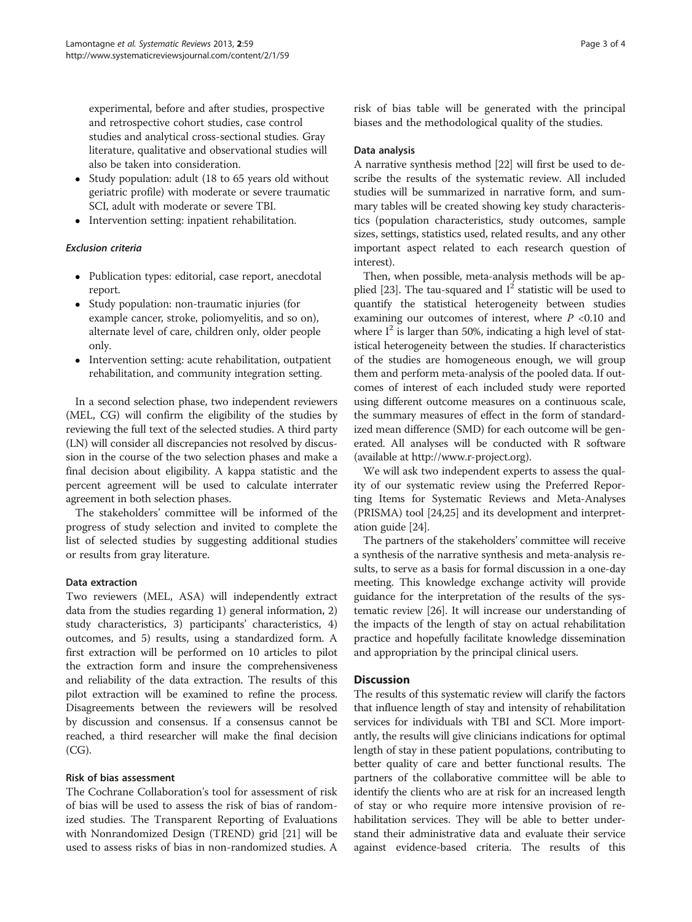experimental, before and after studies, prospective and retrospective cohort studies, case control studies and analytical cross-sectional studies. Gray literature, qualitative and observational studies will also be taken into consideration.

- Study population: adult (18 to 65 years old without geriatric profile) with moderate or severe traumatic SCI, adult with moderate or severe TBI.
- Intervention setting: inpatient rehabilitation.

## Exclusion criteria

- Publication types: editorial, case report, anecdotal report.
- Study population: non-traumatic injuries (for example cancer, stroke, poliomyelitis, and so on), alternate level of care, children only, older people only.
- Intervention setting: acute rehabilitation, outpatient rehabilitation, and community integration setting.

In a second selection phase, two independent reviewers (MEL, CG) will confirm the eligibility of the studies by reviewing the full text of the selected studies. A third party (LN) will consider all discrepancies not resolved by discussion in the course of the two selection phases and make a final decision about eligibility. A kappa statistic and the percent agreement will be used to calculate interrater agreement in both selection phases.

The stakeholders' committee will be informed of the progress of study selection and invited to complete the list of selected studies by suggesting additional studies or results from gray literature.

## Data extraction

Two reviewers (MEL, ASA) will independently extract data from the studies regarding 1) general information, 2) study characteristics, 3) participants' characteristics, 4) outcomes, and 5) results, using a standardized form. A first extraction will be performed on 10 articles to pilot the extraction form and insure the comprehensiveness and reliability of the data extraction. The results of this pilot extraction will be examined to refine the process. Disagreements between the reviewers will be resolved by discussion and consensus. If a consensus cannot be reached, a third researcher will make the final decision (CG).

## Risk of bias assessment

The Cochrane Collaboration's tool for assessment of risk of bias will be used to assess the risk of bias of randomized studies. The Transparent Reporting of Evaluations with Nonrandomized Design (TREND) grid [\[21\]](#page-3-0) will be used to assess risks of bias in non-randomized studies. A

risk of bias table will be generated with the principal biases and the methodological quality of the studies.

## Data analysis

A narrative synthesis method [\[22\]](#page-3-0) will first be used to describe the results of the systematic review. All included studies will be summarized in narrative form, and summary tables will be created showing key study characteristics (population characteristics, study outcomes, sample sizes, settings, statistics used, related results, and any other important aspect related to each research question of interest).

Then, when possible, meta-analysis methods will be ap-plied [\[23](#page-3-0)]. The tau-squared and  $I^2$  statistic will be used to quantify the statistical heterogeneity between studies examining our outcomes of interest, where  $P < 0.10$  and where  $I^2$  is larger than 50%, indicating a high level of statistical heterogeneity between the studies. If characteristics of the studies are homogeneous enough, we will group them and perform meta-analysis of the pooled data. If outcomes of interest of each included study were reported using different outcome measures on a continuous scale, the summary measures of effect in the form of standardized mean difference (SMD) for each outcome will be generated. All analyses will be conducted with R software (available at [http://www.r-project.org](http://www.r-project.org/)).

We will ask two independent experts to assess the quality of our systematic review using the Preferred Reporting Items for Systematic Reviews and Meta-Analyses (PRISMA) tool [[24,25](#page-3-0)] and its development and interpretation guide [\[24\]](#page-3-0).

The partners of the stakeholders' committee will receive a synthesis of the narrative synthesis and meta-analysis results, to serve as a basis for formal discussion in a one-day meeting. This knowledge exchange activity will provide guidance for the interpretation of the results of the systematic review [\[26](#page-3-0)]. It will increase our understanding of the impacts of the length of stay on actual rehabilitation practice and hopefully facilitate knowledge dissemination and appropriation by the principal clinical users.

## **Discussion**

The results of this systematic review will clarify the factors that influence length of stay and intensity of rehabilitation services for individuals with TBI and SCI. More importantly, the results will give clinicians indications for optimal length of stay in these patient populations, contributing to better quality of care and better functional results. The partners of the collaborative committee will be able to identify the clients who are at risk for an increased length of stay or who require more intensive provision of rehabilitation services. They will be able to better understand their administrative data and evaluate their service against evidence-based criteria. The results of this